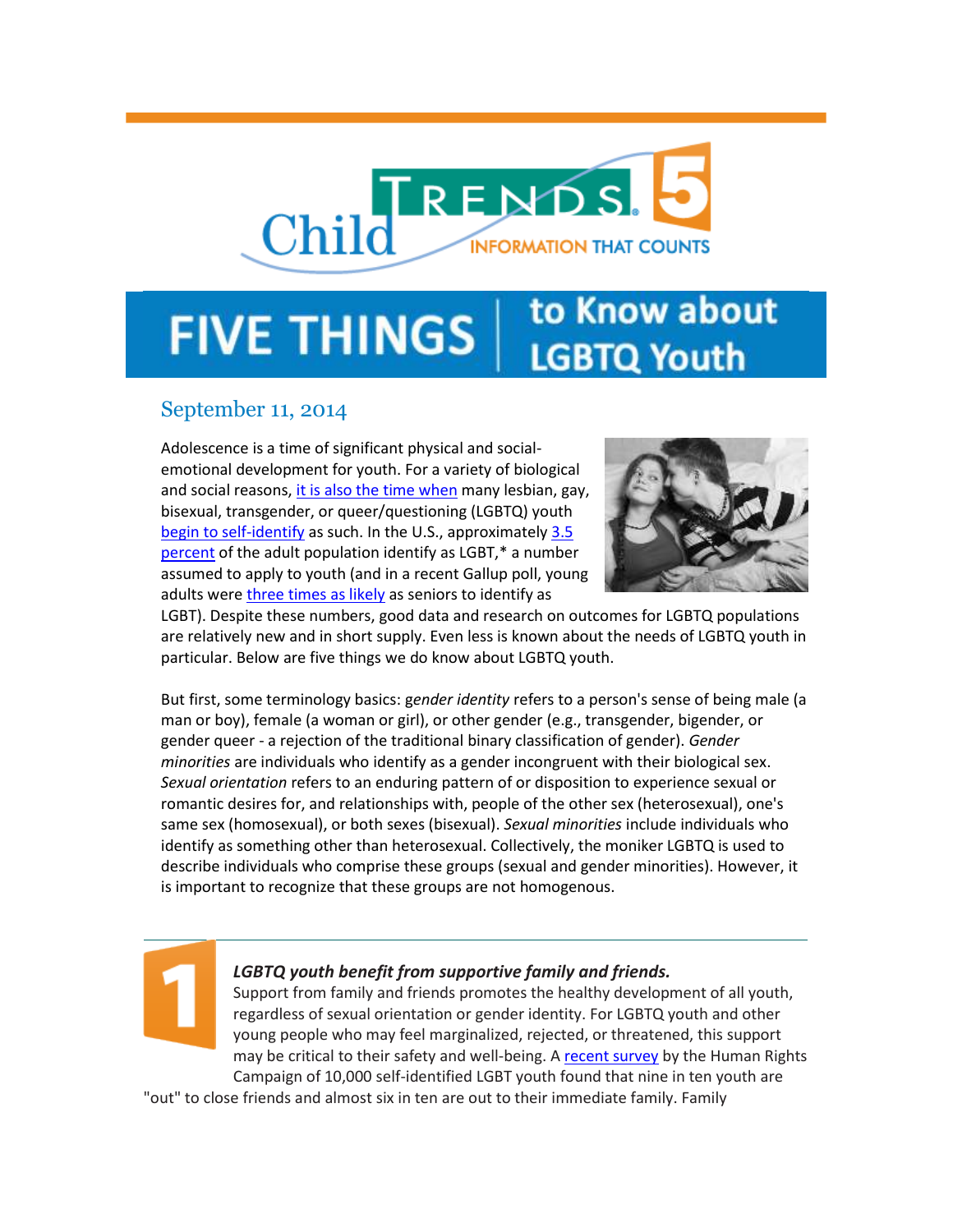# Child RENDS. **INFORMATION THAT COUNTS**

# to Know about **FIVE THINGS LGBTQ Youth**

## September 11, 2014

Adolescence is a time of significant physical and socialemotional development for youth. For a variety of biological and social reasons, [it is also the time when](http://www.advocatesforyouth.org/storage/advfy/documents/glbtq_youth%202010.pdf?utm_source=5+Things+to+Know+about+LGBTQ+Youth&utm_campaign=5+things+to+know+about+LGBTQ+youth&utm_medium=email) many lesbian, gay, bisexual, transgender, or queer/questioning (LGBTQ) youth [begin to self-identify](http://www.pewsocialtrends.org/2013/06/13/the-coming-out-experience-age-when-you-first-thought-knew-told/?utm_source=5+Things+to+Know+about+LGBTQ+Youth&utm_campaign=5+things+to+know+about+LGBTQ+youth&utm_medium=email) as such. In the U.S., approximately [3.5](http://williamsinstitute.law.ucla.edu/wp-content/uploads/Gates-How-Many-People-LGBT-Apr-2011.pdf?utm_source=5+Things+to+Know+about+LGBTQ+Youth&utm_campaign=5+things+to+know+about+LGBTQ+youth&utm_medium=email)  [percent](http://williamsinstitute.law.ucla.edu/wp-content/uploads/Gates-How-Many-People-LGBT-Apr-2011.pdf?utm_source=5+Things+to+Know+about+LGBTQ+Youth&utm_campaign=5+things+to+know+about+LGBTQ+youth&utm_medium=email) of the adult population identify as LGBT,\* a number assumed to apply to youth (and in a recent Gallup poll, young adults were [three times as likely](http://www.gallup.com/poll/158066/special-report-adults-identify-lgbt.aspx?utm_source=5+Things+to+Know+about+LGBTQ+Youth&utm_campaign=5+things+to+know+about+LGBTQ+youth&utm_medium=email) as seniors to identify as



LGBT). Despite these numbers, good data and research on outcomes for LGBTQ populations are relatively new and in short supply. Even less is known about the needs of LGBTQ youth in particular. Below are five things we do know about LGBTQ youth.

But first, some terminology basics: g*ender identity* refers to a person's sense of being male (a man or boy), female (a woman or girl), or other gender (e.g., transgender, bigender, or gender queer - a rejection of the traditional binary classification of gender). *Gender minorities* are individuals who identify as a gender incongruent with their biological sex. *Sexual orientation* refers to an enduring pattern of or disposition to experience sexual or romantic desires for, and relationships with, people of the other sex (heterosexual), one's same sex (homosexual), or both sexes (bisexual). *Sexual minorities* include individuals who identify as something other than heterosexual. Collectively, the moniker LGBTQ is used to describe individuals who comprise these groups (sexual and gender minorities). However, it is important to recognize that these groups are not homogenous.



## *LGBTQ youth benefit from supportive family and friends.*

Support from family and friends promotes the healthy development of all youth, regardless of sexual orientation or gender identity. For LGBTQ youth and other young people who may feel marginalized, rejected, or threatened, this support may be critical to their safety and well-being. [A recent survey](http://hrc-assets.s3-website-us-east-1.amazonaws.com/files/assets/resources/NCOD-Youth-Report.pdf?utm_source=5+Things+to+Know+about+LGBTQ+Youth&utm_campaign=5+things+to+know+about+LGBTQ+youth&utm_medium=email) by the Human Rights Campaign of 10,000 self-identified LGBT youth found that nine in ten youth are

"out" to close friends and almost six in ten are out to their immediate family. Family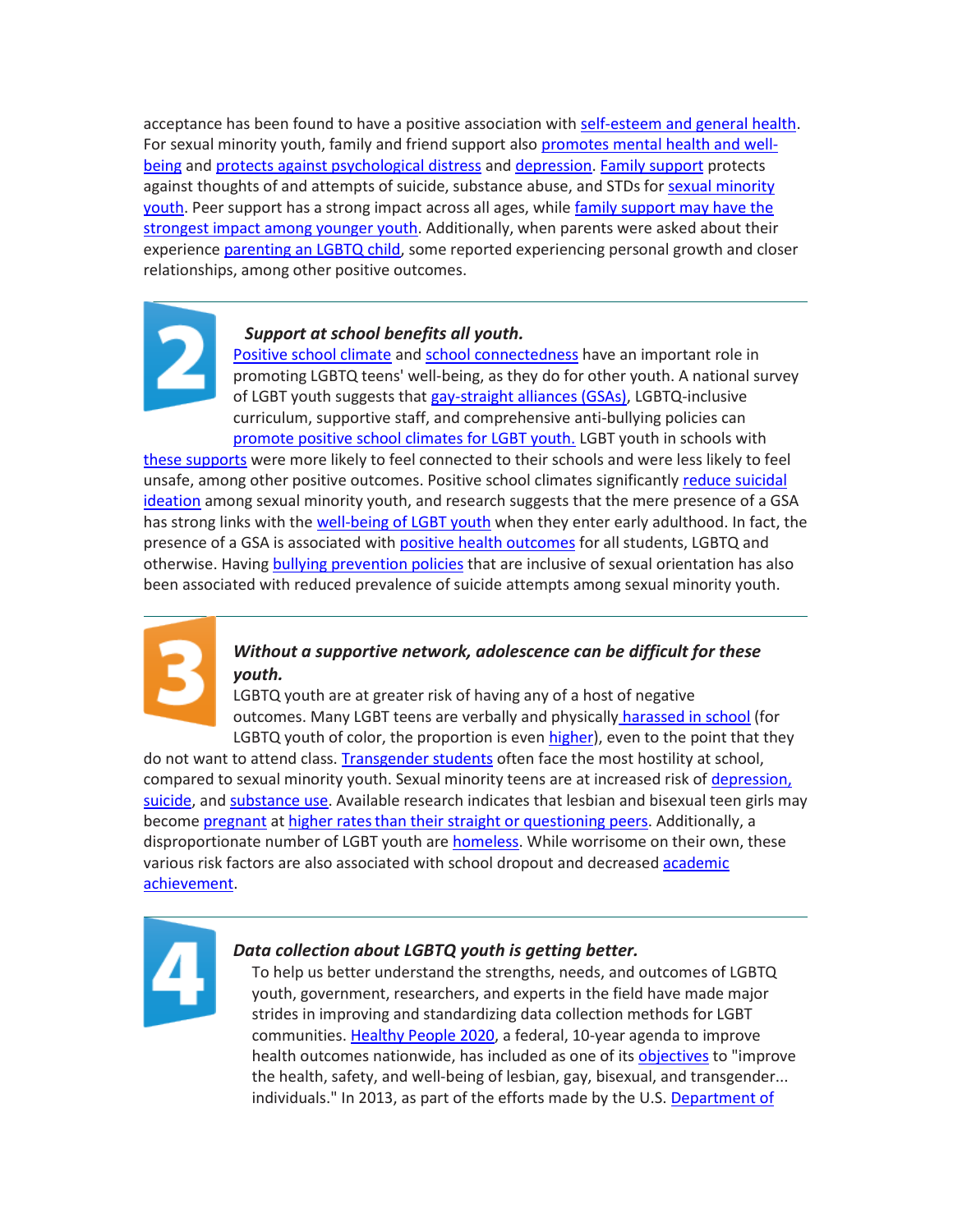acceptance has been found to have a positive association with [self-esteem and general health.](http://perma.cc/media/2013/10/22/21/22/0bBnvjE62HG/cap.pdf?utm_source=5+Things+to+Know+about+LGBTQ+Youth&utm_campaign=5+things+to+know+about+LGBTQ+youth&utm_medium=email) For sexual minority youth, family and friend support also [promotes mental health and well](http://onlinelibrary.wiley.com/doi/10.1111/j.1741-3729.2011.00648.x/abstract?utm_source=5+Things+to+Know+about+LGBTQ+Youth&utm_campaign=5+things+to+know+about+LGBTQ+youth&utm_medium=email)[being](http://onlinelibrary.wiley.com/doi/10.1111/j.1741-3729.2011.00648.x/abstract?utm_source=5+Things+to+Know+about+LGBTQ+Youth&utm_campaign=5+things+to+know+about+LGBTQ+youth&utm_medium=email) an[d protects against psychological distress](http://www.ncbi.nlm.nih.gov/pmc/articles/PMC3126101/pdf/nihms-279460.pdf?utm_source=5+Things+to+Know+about+LGBTQ+Youth&utm_campaign=5+things+to+know+about+LGBTQ+youth&utm_medium=email) and [depression.](http://link.springer.com/article/10.1007%2Fs10964-005-7264-x?utm_source=5+Things+to+Know+about+LGBTQ+Youth&utm_campaign=5+things+to+know+about+LGBTQ+youth&utm_medium=email) [Family support](http://www.ncbi.nlm.nih.gov/pubmed/21161599?utm_source=5+Things+to+Know+about+LGBTQ+Youth&utm_campaign=5+things+to+know+about+LGBTQ+youth&utm_medium=email) protects against thoughts of and attempts of suicide, substance abuse, and STDs fo[r sexual minority](http://www.ncbi.nlm.nih.gov/pubmed/20383570?utm_source=5+Things+to+Know+about+LGBTQ+Youth&utm_campaign=5+things+to+know+about+LGBTQ+youth&utm_medium=email)  [youth.](http://www.ncbi.nlm.nih.gov/pubmed/20383570?utm_source=5+Things+to+Know+about+LGBTQ+Youth&utm_campaign=5+things+to+know+about+LGBTQ+youth&utm_medium=email) Peer support has a strong impact across all ages, while family support may have the [strongest impact among younger youth.](http://www.ncbi.nlm.nih.gov/pmc/articles/PMC3126101/pdf/nihms-279460.pdf?utm_source=5+Things+to+Know+about+LGBTQ+Youth&utm_campaign=5+things+to+know+about+LGBTQ+youth&utm_medium=email) Additionally, when parents were asked about their experience [parenting an LGBTQ child,](http://prismresearch.org/wp-content/uploads/2010/11/GonzalezetalFP2012.pdf?utm_source=5+Things+to+Know+about+LGBTQ+Youth&utm_campaign=5+things+to+know+about+LGBTQ+youth&utm_medium=email) some reported experiencing personal growth and closer relationships, among other positive outcomes.



#### *Support at school benefits all youth.*

[Positive school climate](http://www.ijvs.org/files/Publications/A%20Review%20of%20School%20Climate%20Research.pdf?utm_source=5+Things+to+Know+about+LGBTQ+Youth&utm_campaign=5+things+to+know+about+LGBTQ+youth&utm_medium=email) an[d school connectedness](http://www.cdc.gov/healthyyouth/protective/pdf/connectedness.pdf?utm_source=5+Things+to+Know+about+LGBTQ+Youth&utm_campaign=5+things+to+know+about+LGBTQ+youth&utm_medium=email) have an important role in promoting LGBTQ teens' well-being, as they do for other youth. A national survey of LGBT youth suggests that [gay-straight alliances \(GSAs\),](http://www.gsanetwork.org/?utm_source=5+Things+to+Know+about+LGBTQ+Youth&utm_campaign=5+things+to+know+about+LGBTQ+youth&utm_medium=email) LGBTQ-inclusive curriculum, supportive staff, and comprehensive anti-bullying policies can [promote positive school climates for LGBT youth.](http://glsen.org/sites/default/files/2011%20National%20School%20Climate%20Survey%20Full%20Report.pdf?utm_source=5+Things+to+Know+about+LGBTQ+Youth&utm_campaign=5+things+to+know+about+LGBTQ+youth&utm_medium=email) LGBT youth in schools with

[these supports](http://safesupportivelearning.ed.gov/resources/creating-safe-space-lgbtq-teens?utm_source=5+Things+to+Know+about+LGBTQ+Youth&utm_campaign=5+things+to+know+about+LGBTQ+youth&utm_medium=email) were more likely to feel connected to their schools and were less likely to feel unsafe, among other positive outcomes. Positive school climates significantly [reduce suicidal](http://ajph.aphapublications.org/doi/abs/10.2105/AJPH.2013.301508?utm_source=5+Things+to+Know+about+LGBTQ+Youth&utm_campaign=5+things+to+know+about+LGBTQ+youth&utm_medium=email)  [ideation](http://ajph.aphapublications.org/doi/abs/10.2105/AJPH.2013.301508?utm_source=5+Things+to+Know+about+LGBTQ+Youth&utm_campaign=5+things+to+know+about+LGBTQ+youth&utm_medium=email) among sexual minority youth, and research suggests that the mere presence of a GSA has strong links with th[e well-being of LGBT youth](http://www.ncbi.nlm.nih.gov/pmc/articles/PMC3217265/pdf/nihms330744.pdf?utm_source=5+Things+to+Know+about+LGBTQ+Youth&utm_campaign=5+things+to+know+about+LGBTQ+youth&utm_medium=email) when they enter early adulthood. In fact, the presence of a GSA is associated with [positive health outcomes](http://pdf.countyofdane.com/humanservices/youth/assessment_surveys/2009/poteat_sinclair_digiovanni_koenig_russell_2012.pdf?utm_source=5+Things+to+Know+about+LGBTQ+Youth&utm_campaign=5+things+to+know+about+LGBTQ+youth&utm_medium=email) for all students, LGBTQ and otherwise. Having [bullying prevention policies](http://www.sciencedirect.com/science/article/pii/S1054139X12003540?utm_source=5+Things+to+Know+about+LGBTQ+Youth&utm_campaign=5+things+to+know+about+LGBTQ+youth&utm_medium=email) that are inclusive of sexual orientation has also been associated with reduced prevalence of suicide attempts among sexual minority youth.



### *Without a supportive network, adolescence can be difficult for these youth.*

LGBTQ youth are at greater risk of having any of a host of negative outcomes. Many LGBT teens are verbally and physically [harassed in school](http://cdn.americanprogress.org/wp-content/uploads/2014/02/BeyondBullying.pdf?utm_source=5+Things+to+Know+about+LGBTQ+Youth&utm_campaign=5+things+to+know+about+LGBTQ+youth&utm_medium=email) (for LGBTQ youth of color, the proportion is eve[n higher\)](http://www.advocatesforyouth.org/storage/advfy/documents/yrbs-glbt.pdf?utm_source=5+Things+to+Know+about+LGBTQ+Youth&utm_campaign=5+things+to+know+about+LGBTQ+youth&utm_medium=email), even to the point that they

do not want to attend class. [Transgender students](http://www.glsen.org/sites/default/files/2011%20National%20School%20Climate%20Survey%20Executive%20Summary.pdf?utm_source=5+Things+to+Know+about+LGBTQ+Youth&utm_campaign=5+things+to+know+about+LGBTQ+youth&utm_medium=email) often face the most hostility at school, compared to sexual minority youth. Sexual minority teens are at increased risk of depression, [suicide,](http://www.jahonline.org/article/S1054-139X(11)00054-1/abstract?utm_source=5+Things+to+Know+about+LGBTQ+Youth&utm_campaign=5+things+to+know+about+LGBTQ+youth&utm_medium=email) an[d substance use.](http://www.ncbi.nlm.nih.gov/pmc/articles/PMC2680081/?utm_source=5+Things+to+Know+about+LGBTQ+Youth&utm_campaign=5+things+to+know+about+LGBTQ+youth&utm_medium=email) Available research indicates that lesbian and bisexual teen girls may becom[e pregnant](http://www.plannedparenthood.org/files/6813/9611/7632/Reducing_Teen_Pregnancy.pdf?utm_source=5+Things+to+Know+about+LGBTQ+Youth&utm_campaign=5+things+to+know+about+LGBTQ+youth&utm_medium=email) a[t higher ratesthan their straight or questioning peers.](http://www.ncbi.nlm.nih.gov/books/NBK64808/?utm_source=5+Things+to+Know+about+LGBTQ+Youth&utm_campaign=5+things+to+know+about+LGBTQ+youth&utm_medium=email) Additionally, a disproportionate number of LGBT youth are [homeless.](http://www.childtrends.org/homelessness-among-lgbt-youth-a-national-concern/?utm_source=5+Things+to+Know+about+LGBTQ+Youth&utm_campaign=5+things+to+know+about+LGBTQ+youth&utm_medium=email) While worrisome on their own, these various risk factors are also associated with school dropout and decreased [academic](http://www.advocatesforyouth.org/storage/advfy/documents/yrbs-glbt.pdf?utm_source=5+Things+to+Know+about+LGBTQ+Youth&utm_campaign=5+things+to+know+about+LGBTQ+youth&utm_medium=email)  [achievement.](http://www.advocatesforyouth.org/storage/advfy/documents/yrbs-glbt.pdf?utm_source=5+Things+to+Know+about+LGBTQ+Youth&utm_campaign=5+things+to+know+about+LGBTQ+youth&utm_medium=email)



#### *Data collection about LGBTQ youth is getting better.*

To help us better understand the strengths, needs, and outcomes of LGBTQ youth, government, researchers, and experts in the field have made major strides in improving and standardizing data collection methods for LGBT communities. [Healthy People 2020,](http://www.healthypeople.gov/2020/about/default.aspx?utm_source=5+Things+to+Know+about+LGBTQ+Youth&utm_campaign=5+things+to+know+about+LGBTQ+youth&utm_medium=email) a federal, 10-year agenda to improve health outcomes nationwide, has included as one of its [objectives](http://www.healthypeople.gov/2020/topicsobjectives2020/objectiveslist.aspx?topicId=25&utm_source=5+Things+to+Know+about+LGBTQ+Youth&utm_campaign=5+things+to+know+about+LGBTQ+youth&utm_medium=email) to "improve the health, safety, and well-being of lesbian, gay, bisexual, and transgender... individuals." In 2013, as part of the efforts made by the U.S. [Department of](http://www.hhs.gov/lgbt/resources/reports/health-objectives-2013.html?utm_source=5+Things+to+Know+about+LGBTQ+Youth&utm_campaign=5+things+to+know+about+LGBTQ+youth&utm_medium=email)